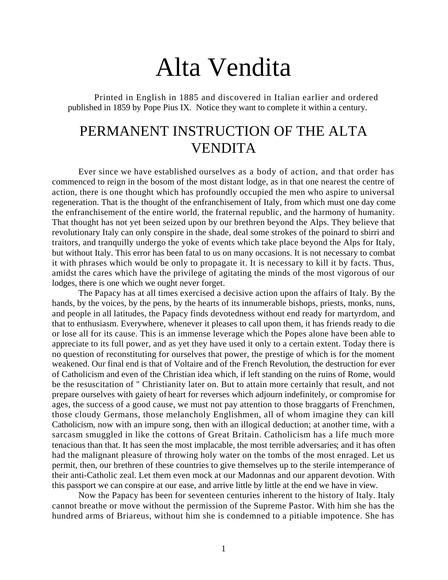## Alta Vendita

Printed in English in 1885 and discovered in Italian earlier and ordered published in 1859 by Pope Pius IX. Notice they want to complete it within a century.

## PERMANENT INSTRUCTION OF THE ALTA VENDITA

Ever since we have established ourselves as a body of action, and that order has commenced to reign in the bosom of the most distant lodge, as in that one nearest the centre of action, there is one thought which has profoundly occupied the men who aspire to universal regeneration. That is the thought of the enfranchisement of Italy, from which must one day come the enfranchisement of the entire world, the fraternal republic, and the harmony of humanity. That thought has not yet been seized upon by our brethren beyond the Alps. They believe that revolutionary Italy can only conspire in the shade, deal some strokes of the poinard to sbirri and traitors, and tranquilly undergo the yoke of events which take place beyond the Alps for Italy, but without Italy. This error has been fatal to us on many occasions. It is not necessary to combat it with phrases which would be only to propagate it. It is necessary to kill it by facts. Thus, amidst the cares which have the privilege of agitating the minds of the most vigorous of our lodges, there is one which we ought never forget.

The Papacy has at all times exercised a decisive action upon the affairs of Italy. By the hands, by the voices, by the pens, by the hearts of its innumerable bishops, priests, monks, nuns, and people in all latitudes, the Papacy finds devotedness without end ready for martyrdom, and that to enthusiasm. Everywhere, whenever it pleases to call upon them, it has friends ready to die or lose all for its cause. This is an immense leverage which the Popes alone have been able to appreciate to its full power, and as yet they have used it only to a certain extent. Today there is no question of reconstituting for ourselves that power, the prestige of which is for the moment weakened. Our final end is that of Voltaire and of the French Revolution, the destruction for ever of Catholicism and even of the Christian idea which, if left standing on the ruins of Rome, would be the resuscitation of " Christianity later on. But to attain more certainly that result, and not prepare ourselves with gaiety of heart for reverses which adjourn indefinitely, or compromise for ages, the success of a good cause, we must not pay attention to those braggarts of Frenchmen, those cloudy Germans, those melancholy Englishmen, all of whom imagine they can kill Catholicism, now with an impure song, then with an illogical deduction; at another time, with a sarcasm smuggled in like the cottons of Great Britain. Catholicism has a life much more tenacious than that. It has seen the most implacable, the most terrible adversaries; and it has often had the malignant pleasure of throwing holy water on the tombs of the most enraged. Let us permit, then, our brethren of these countries to give themselves up to the sterile intemperance of their anti-Catholic zeal. Let them even mock at our Madonnas and our apparent devotion. With this passport we can conspire at our ease, and arrive little by little at the end we have in view.

Now the Papacy has been for seventeen centuries inherent to the history of Italy. Italy cannot breathe or move without the permission of the Supreme Pastor. With him she has the hundred arms of Briareus, without him she is condemned to a pitiable impotence. She has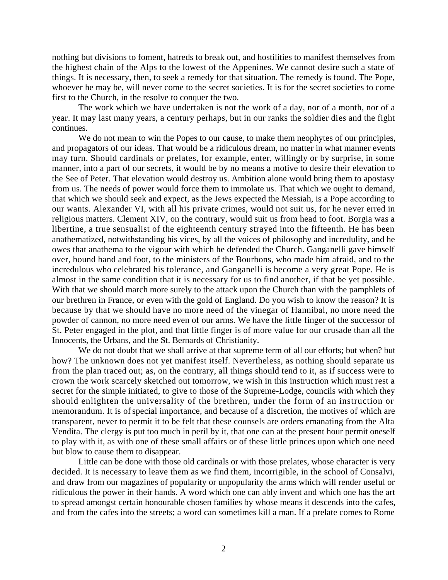nothing but divisions to foment, hatreds to break out, and hostilities to manifest themselves from the highest chain of the Alps to the lowest of the Appenines. We cannot desire such a state of things. It is necessary, then, to seek a remedy for that situation. The remedy is found. The Pope, whoever he may be, will never come to the secret societies. It is for the secret societies to come first to the Church, in the resolve to conquer the two.

The work which we have undertaken is not the work of a day, nor of a month, nor of a year. It may last many years, a century perhaps, but in our ranks the soldier dies and the fight continues.

We do not mean to win the Popes to our cause, to make them neophytes of our principles, and propagators of our ideas. That would be a ridiculous dream, no matter in what manner events may turn. Should cardinals or prelates, for example, enter, willingly or by surprise, in some manner, into a part of our secrets, it would be by no means a motive to desire their elevation to the See of Peter. That elevation would destroy us. Ambition alone would bring them to apostasy from us. The needs of power would force them to immolate us. That which we ought to demand, that which we should seek and expect, as the Jews expected the Messiah, is a Pope according to our wants. Alexander VI, with all his private crimes, would not suit us, for he never erred in religious matters. Clement XIV, on the contrary, would suit us from head to foot. Borgia was a libertine, a true sensualist of the eighteenth century strayed into the fifteenth. He has been anathematized, notwithstanding his vices, by all the voices of philosophy and incredulity, and he owes that anathema to the vigour with which he defended the Church. Ganganelli gave himself over, bound hand and foot, to the ministers of the Bourbons, who made him afraid, and to the incredulous who celebrated his tolerance, and Ganganelli is become a very great Pope. He is almost in the same condition that it is necessary for us to find another, if that be yet possible. With that we should march more surely to the attack upon the Church than with the pamphlets of our brethren in France, or even with the gold of England. Do you wish to know the reason? It is because by that we should have no more need of the vinegar of Hannibal, no more need the powder of cannon, no more need even of our arms. We have the little finger of the successor of St. Peter engaged in the plot, and that little finger is of more value for our crusade than all the Innocents, the Urbans, and the St. Bernards of Christianity.

We do not doubt that we shall arrive at that supreme term of all our efforts; but when? but how? The unknown does not yet manifest itself. Nevertheless, as nothing should separate us from the plan traced out; as, on the contrary, all things should tend to it, as if success were to crown the work scarcely sketched out tomorrow, we wish in this instruction which must rest a secret for the simple initiated, to give to those of the Supreme-Lodge, councils with which they should enlighten the universality of the brethren, under the form of an instruction or memorandum. It is of special importance, and because of a discretion, the motives of which are transparent, never to permit it to be felt that these counsels are orders emanating from the Alta Vendita. The clergy is put too much in peril by it, that one can at the present hour permit oneself to play with it, as with one of these small affairs or of these little princes upon which one need but blow to cause them to disappear.

Little can be done with those old cardinals or with those prelates, whose character is very decided. It is necessary to leave them as we find them, incorrigible, in the school of Consalvi, and draw from our magazines of popularity or unpopularity the arms which will render useful or ridiculous the power in their hands. A word which one can ably invent and which one has the art to spread amongst certain honourable chosen families by whose means it descends into the cafes, and from the cafes into the streets; a word can sometimes kill a man. If a prelate comes to Rome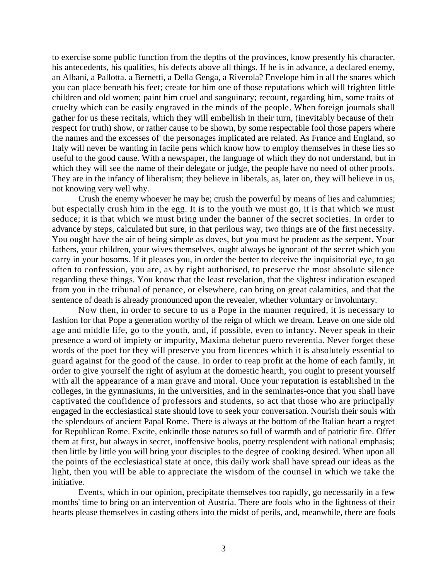to exercise some public function from the depths of the provinces, know presently his character, his antecedents, his qualities, his defects above all things. If he is in advance, a declared enemy, an Albani, a Pallotta. a Bernetti, a Della Genga, a Riverola? Envelope him in all the snares which you can place beneath his feet; create for him one of those reputations which will frighten little children and old women; paint him cruel and sanguinary; recount, regarding him, some traits of cruelty which can be easily engraved in the minds of the people. When foreign journals shall gather for us these recitals, which they will embellish in their turn, (inevitably because of their respect for truth) show, or rather cause to be shown, by some respectable fool those papers where the names and the excesses of' the personages implicated are related. As France and England, so Italy will never be wanting in facile pens which know how to employ themselves in these lies so useful to the good cause. With a newspaper, the language of which they do not understand, but in which they will see the name of their delegate or judge, the people have no need of other proofs. They are in the infancy of liberalism; they believe in liberals, as, later on, they will believe in us, not knowing very well why.

Crush the enemy whoever he may be; crush the powerful by means of lies and calumnies; but especially crush him in the egg. It is to the youth we must go, it is that which we must seduce; it is that which we must bring under the banner of the secret societies. In order to advance by steps, calculated but sure, in that perilous way, two things are of the first necessity. You ought have the air of being simple as doves, but you must be prudent as the serpent. Your fathers, your children, your wives themselves, ought always be ignorant of the secret which you carry in your bosoms. If it pleases you, in order the better to deceive the inquisitorial eye, to go often to confession, you are, as by right authorised, to preserve the most absolute silence regarding these things. You know that the least revelation, that the slightest indication escaped from you in the tribunal of penance, or elsewhere, can bring on great calamities, and that the sentence of death is already pronounced upon the revealer, whether voluntary or involuntary.

Now then, in order to secure to us a Pope in the manner required, it is necessary to fashion for that Pope a generation worthy of the reign of which we dream. Leave on one side old age and middle life, go to the youth, and, if possible, even to infancy. Never speak in their presence a word of impiety or impurity, Maxima debetur puero reverentia. Never forget these words of the poet for they will preserve you from licences which it is absolutely essential to guard against for the good of the cause. In order to reap profit at the home of each family, in order to give yourself the right of asylum at the domestic hearth, you ought to present yourself with all the appearance of a man grave and moral. Once your reputation is established in the colleges, in the gymnasiums, in the universities, and in the seminaries-once that you shall have captivated the confidence of professors and students, so act that those who are principally engaged in the ecclesiastical state should love to seek your conversation. Nourish their souls with the splendours of ancient Papal Rome. There is always at the bottom of the Italian heart a regret for Republican Rome. Excite, enkindle those natures so full of warmth and of patriotic fire. Offer them at first, but always in secret, inoffensive books, poetry resplendent with national emphasis; then little by little you will bring your disciples to the degree of cooking desired. When upon all the points of the ecclesiastical state at once, this daily work shall have spread our ideas as the light, then you will be able to appreciate the wisdom of the counsel in which we take the initiative.

Events, which in our opinion, precipitate themselves too rapidly, go necessarily in a few months' time to bring on an intervention of Austria. There are fools who in the lightness of their hearts please themselves in casting others into the midst of perils, and, meanwhile, there are fools